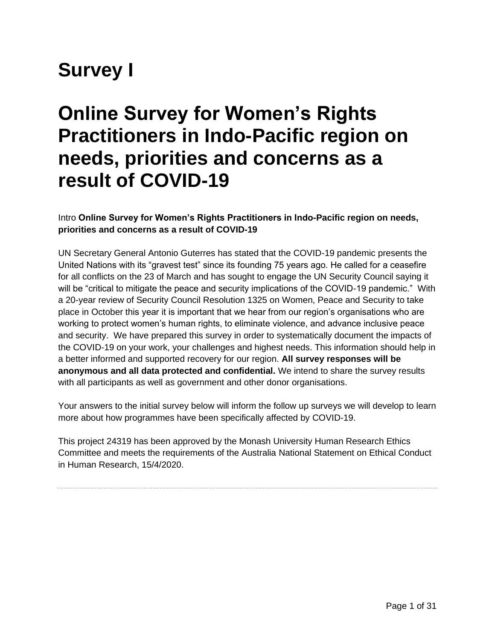# **Survey I**

## **Online Survey for Women's Rights Practitioners in Indo-Pacific region on needs, priorities and concerns as a result of COVID-19**

#### Intro **Online Survey for Women's Rights Practitioners in Indo-Pacific region on needs, priorities and concerns as a result of COVID-19**

UN Secretary General Antonio Guterres has stated that the COVID-19 pandemic presents the United Nations with its "gravest test" since its founding 75 years ago. He called for a ceasefire for all conflicts on the 23 of March and has sought to engage the UN Security Council saying it will be "critical to mitigate the peace and security implications of the COVID-19 pandemic." With a 20-year review of Security Council Resolution 1325 on Women, Peace and Security to take place in October this year it is important that we hear from our region's organisations who are working to protect women's human rights, to eliminate violence, and advance inclusive peace and security. We have prepared this survey in order to systematically document the impacts of the COVID-19 on your work, your challenges and highest needs. This information should help in a better informed and supported recovery for our region. **All survey responses will be anonymous and all data protected and confidential.** We intend to share the survey results with all participants as well as government and other donor organisations.

Your answers to the initial survey below will inform the follow up surveys we will develop to learn more about how programmes have been specifically affected by COVID-19.

This project 24319 has been approved by the Monash University Human Research Ethics Committee and meets the requirements of the Australia National Statement on Ethical Conduct in Human Research, 15/4/2020.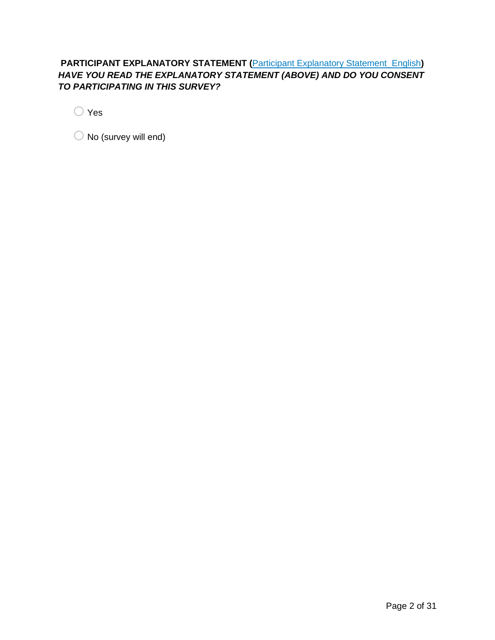#### **PARTICIPANT EXPLANATORY STATEMENT (Participant Explanatory Statement English)** *HAVE YOU READ THE EXPLANATORY STATEMENT (ABOVE) AND DO YOU CONSENT TO PARTICIPATING IN THIS SURVEY?*

 $\bigcirc$  Yes

 $\bigcirc$  No (survey will end)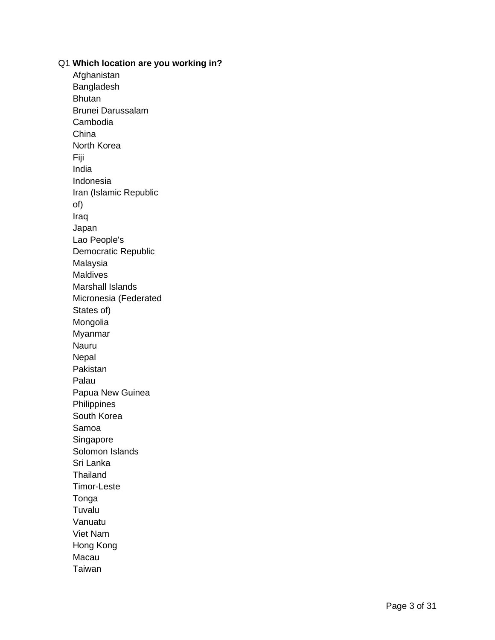Q1 **Which location are you working in?** Afghanistan Bangladesh **Bhutan** Brunei Darussalam Cambodia China North Korea Fiji India Indonesia Iran (Islamic Republic of) Iraq Japan Lao People's Democratic Republic Malaysia **Maldives** Marshall Islands Micronesia (Federated States of) Mongolia Myanmar Nauru Nepal Pakistan Palau Papua New Guinea **Philippines** South Korea Samoa Singapore Solomon Islands Sri Lanka Thailand Timor -Leste Tonga Tuvalu Vanuatu Viet Nam Hong Kong Macau Taiwan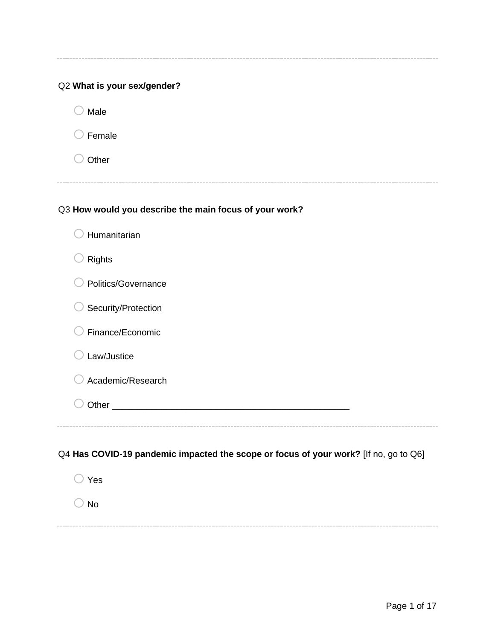## Q2 **What is your sex/gender?**

 $\bigcirc$  Male

-----

 $\bigcirc$  Female

 $\bigcirc$  Other

#### Q3 **How would you describe the main focus of your work?**

| Humanitarian                                                                         |
|--------------------------------------------------------------------------------------|
| <b>Rights</b>                                                                        |
| Politics/Governance                                                                  |
| Security/Protection                                                                  |
| Finance/Economic                                                                     |
| Law/Justice                                                                          |
| Academic/Research                                                                    |
|                                                                                      |
|                                                                                      |
| Q4 Has COVID-19 pandemic impacted the scope or focus of your work? [If no, go to Q6] |
| Yes                                                                                  |
| <b>No</b>                                                                            |
|                                                                                      |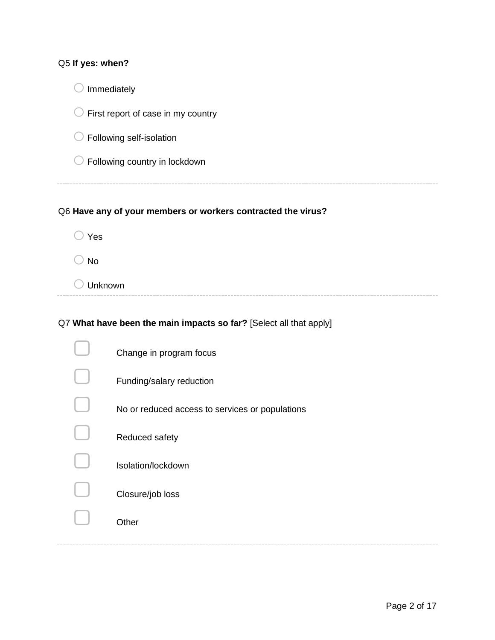| Q5 If yes: when?                                             |
|--------------------------------------------------------------|
| Immediately                                                  |
| First report of case in my country                           |
| Following self-isolation                                     |
| Following country in lockdown                                |
|                                                              |
| Q6 Have any of your members or workers contracted the virus? |
| Yes                                                          |
| <b>No</b>                                                    |
| Unknown                                                      |

## Q7 **What have been the main impacts so far?** [Select all that apply]

 $\overline{\phantom{a}}$ 

| Change in program focus                         |
|-------------------------------------------------|
| Funding/salary reduction                        |
| No or reduced access to services or populations |
| Reduced safety                                  |
| Isolation/lockdown                              |
| Closure/job loss                                |
| Other                                           |
|                                                 |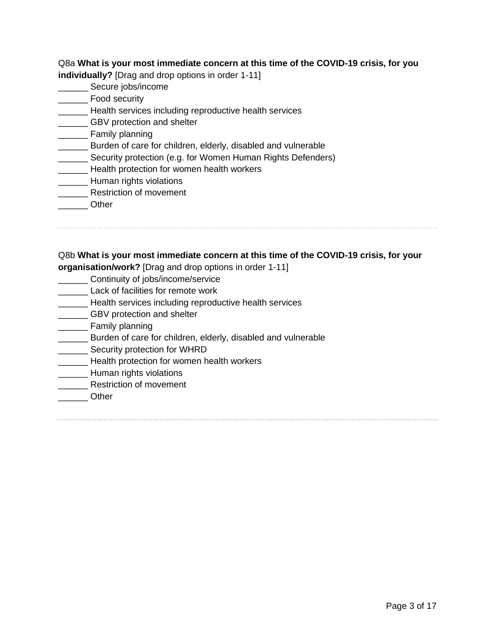Q8a **What is your most immediate concern at this time of the COVID-19 crisis, for you individually?** [Drag and drop options in order 1-11]

- 
- \_\_\_\_\_\_ Secure jobs/income
- \_\_\_\_\_\_ Food security
- **EXECUTE:** Health services including reproductive health services
- **LETTER GBV** protection and shelter
- \_\_\_\_\_\_ Family planning
- **\_\_\_\_\_\_** Burden of care for children, elderly, disabled and vulnerable
- **Security protection (e.g. for Women Human Rights Defenders)**
- **LECT** Health protection for women health workers
- **\_\_\_\_\_\_\_\_** Human rights violations
- **\_\_\_\_\_\_\_** Restriction of movement
- \_\_\_\_\_\_ Other

#### Q8b **What is your most immediate concern at this time of the COVID-19 crisis, for your**

**organisation/work?** [Drag and drop options in order 1-11]

- \_\_\_\_\_\_ Continuity of jobs/income/service
- **Lack of facilities for remote work**
- Health services including reproductive health services
- **EXECTED** GBV protection and shelter
- \_\_\_\_\_\_ Family planning
- **EXECT** Burden of care for children, elderly, disabled and vulnerable
- **\_\_\_\_\_\_\_\_** Security protection for WHRD
- **\_\_\_\_\_\_\_** Health protection for women health workers
- \_\_\_\_\_\_\_ Human rights violations
- **\_\_\_\_\_\_\_\_** Restriction of movement
- \_\_\_\_\_\_ Other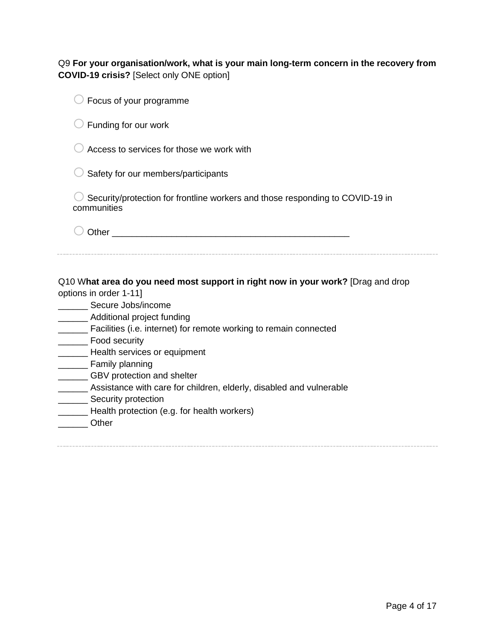#### Q9 **For your organisation/work, what is your main long-term concern in the recovery from COVID-19 crisis?** [Select only ONE option]

| Focus of your programme                                                                                                                                                                                                                                                                                                                                                                                                                                                                                                                          |
|--------------------------------------------------------------------------------------------------------------------------------------------------------------------------------------------------------------------------------------------------------------------------------------------------------------------------------------------------------------------------------------------------------------------------------------------------------------------------------------------------------------------------------------------------|
| Funding for our work                                                                                                                                                                                                                                                                                                                                                                                                                                                                                                                             |
| Access to services for those we work with                                                                                                                                                                                                                                                                                                                                                                                                                                                                                                        |
| Safety for our members/participants                                                                                                                                                                                                                                                                                                                                                                                                                                                                                                              |
| Security/protection for frontline workers and those responding to COVID-19 in<br>communities                                                                                                                                                                                                                                                                                                                                                                                                                                                     |
|                                                                                                                                                                                                                                                                                                                                                                                                                                                                                                                                                  |
| Q10 What area do you need most support in right now in your work? [Drag and drop<br>options in order 1-11]<br>Secure Jobs/income<br>________ Additional project funding<br>_____ Facilities (i.e. internet) for remote working to remain connected<br>Food security<br><b>EXAMPLE Health services or equipment</b><br>Family planning<br>_______ GBV protection and shelter<br>______ Assistance with care for children, elderly, disabled and vulnerable<br>_______ Security protection<br>Health protection (e.g. for health workers)<br>Other |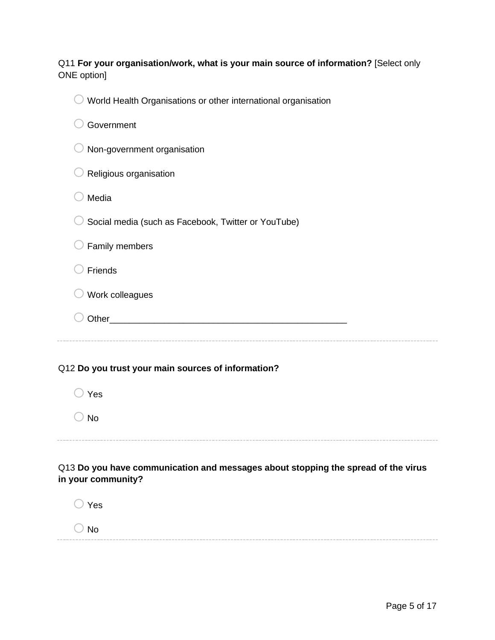#### Q11 **For your organisation/work, what is your main source of information?** [Select only ONE option]

| World Health Organisations or other international organisation                                                 |  |  |
|----------------------------------------------------------------------------------------------------------------|--|--|
| Government                                                                                                     |  |  |
| Non-government organisation                                                                                    |  |  |
| Religious organisation                                                                                         |  |  |
| Media                                                                                                          |  |  |
| Social media (such as Facebook, Twitter or YouTube)                                                            |  |  |
| Family members                                                                                                 |  |  |
| Friends                                                                                                        |  |  |
| Work colleagues                                                                                                |  |  |
| Other than the contract of the contract of the contract of the contract of the contract of the contract of the |  |  |
|                                                                                                                |  |  |
| Q12 Do you trust your main sources of information?                                                             |  |  |
| Yes                                                                                                            |  |  |
| <b>No</b>                                                                                                      |  |  |
| Q13 Do you have communication and messages about stopping the spread of the virus<br>in your community?        |  |  |

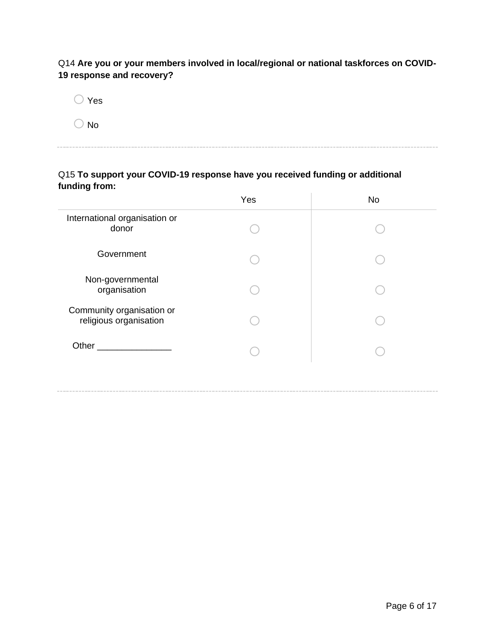Q14 **Are you or your members involved in local/regional or national taskforces on COVID-19 response and recovery?**

| Yes |
|-----|
| No  |

#### Q15 **To support your COVID-19 response have you received funding or additional funding from:**

|                                                     | Yes | <b>No</b> |
|-----------------------------------------------------|-----|-----------|
| International organisation or<br>donor              |     |           |
| Government                                          |     |           |
| Non-governmental<br>organisation                    |     |           |
| Community organisation or<br>religious organisation |     |           |
| Other                                               |     |           |
|                                                     |     |           |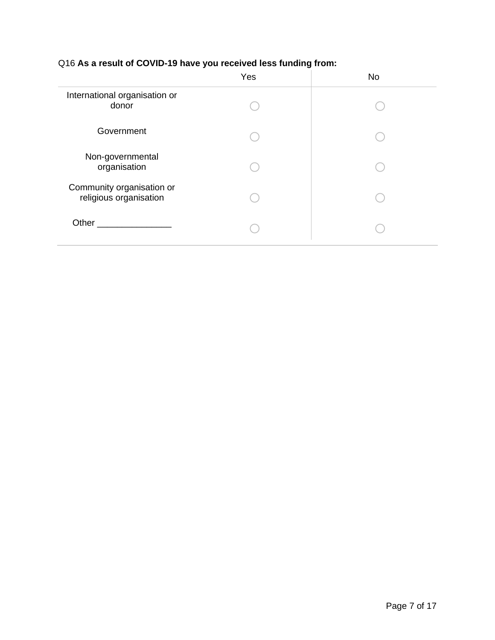## Q16 **As a result of COVID-19 have you received less funding from:**

|                                                     | Yes | <b>No</b> |
|-----------------------------------------------------|-----|-----------|
| International organisation or<br>donor              |     |           |
| Government                                          |     |           |
| Non-governmental<br>organisation                    |     |           |
| Community organisation or<br>religious organisation |     |           |
| Other                                               |     |           |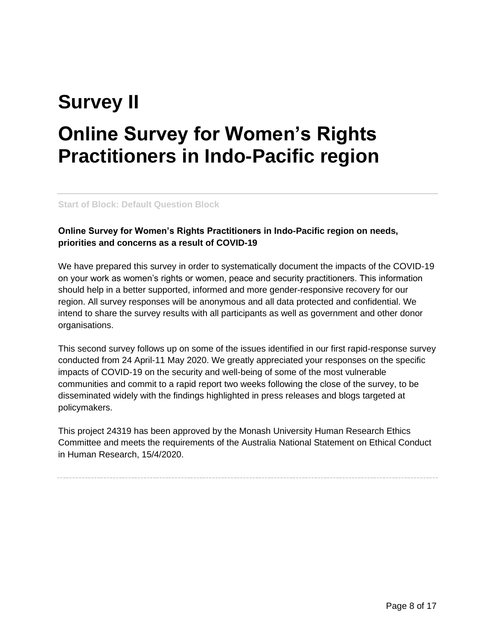# **Survey II Online Survey for Women's Rights Practitioners in Indo-Pacific region**

**Start of Block: Default Question Block**

#### **Online Survey for Women's Rights Practitioners in Indo-Pacific region on needs, priorities and concerns as a result of COVID-19**

We have prepared this survey in order to systematically document the impacts of the COVID-19 on your work as women's rights or women, peace and security practitioners. This information should help in a better supported, informed and more gender-responsive recovery for our region. All survey responses will be anonymous and all data protected and confidential. We intend to share the survey results with all participants as well as government and other donor organisations.

This second survey follows up on some of the issues identified in our first rapid-response survey conducted from 24 April-11 May 2020. We greatly appreciated your responses on the specific impacts of COVID-19 on the security and well-being of some of the most vulnerable communities and commit to a rapid report two weeks following the close of the survey, to be disseminated widely with the findings highlighted in press releases and blogs targeted at policymakers.

This project 24319 has been approved by the Monash University Human Research Ethics Committee and meets the requirements of the Australia National Statement on Ethical Conduct in Human Research, 15/4/2020.

Page 8 of 17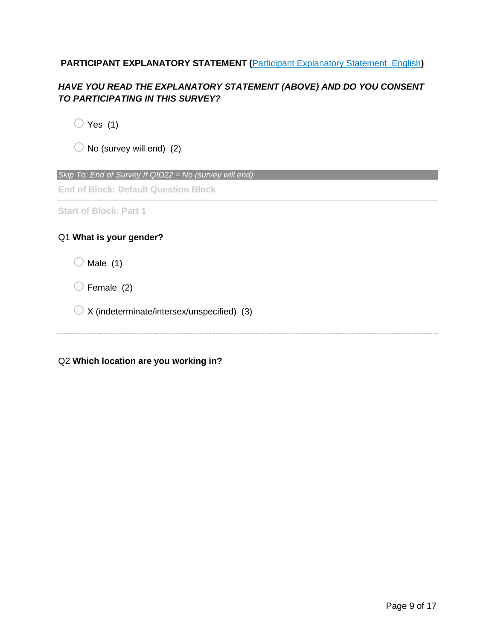#### **PARTICIPANT EXPLANATORY STATEMENT (Participant Explanatory Statement English)**

#### *HAVE YOU READ THE EXPLANATORY STATEMENT (ABOVE) AND DO YOU CONSENT TO PARTICIPATING IN THIS SURVEY?*

 $\bigcirc$  Yes (1)

 $\bigcirc$  No (survey will end) (2)

*Skip To: End of Survey If QID22 = No (survey will end)*

**End of Block: Default Question Block**

**Start of Block: Part 1**

#### Q1 **What is your gender?**

 $\bigcirc$  Male (1)

 $\bigcirc$  Female (2)

 $\bigcirc$  X (indeterminate/intersex/unspecified) (3)

Q2 **Which location are you working in?**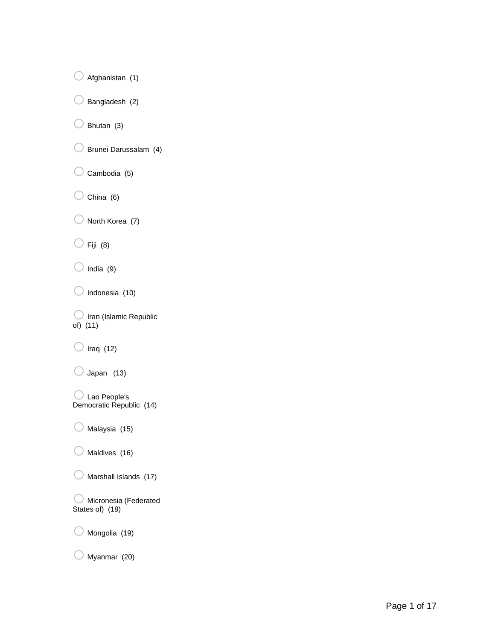$\bigcirc$  Afghanistan (1)

 $\bigcirc$  Bangladesh (2)

 $\bigcirc$  Bhutan (3)

- o Brunei Darussalam (4)
- $\bigcirc$  Cambodia (5)
- $\bigcirc$  China (6)

 $\bigcirc$  North Korea (7)

 $\bigcirc$  Fiji (8)

 $\bigcirc$  India (9)

 $\bigcirc$  Indonesia (10)

 $\bigcirc$  Iran (Islamic Republic of) (11)

 $\bigcirc$  Iraq (12)

 $\bigcirc$  Japan (13)

oLao People's Democratic Republic (14)

 $\bigcirc$  Malaysia (15)

 $\bigcirc$  Maldives (16)

 $\bigcirc$  Marshall Islands (17)

 $\bigcirc$  Micronesia (Federated States of) (18)

 $\bigcirc$  Mongolia (19)

 $\bigcirc$  Myanmar (20)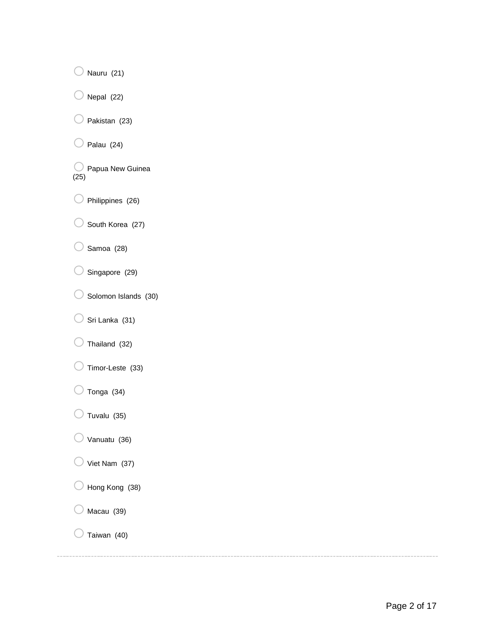$\bigcirc$  Nauru (21)  $\bigcirc$  Nepal (22)  $\bigcirc$  Pakistan (23)  $\bigcirc$  Palau (24) O Papua New Guinea (25)  $\bigcirc$  Philippines (26)  $\bigcirc$  South Korea (27)  $\bigcirc$  Samoa (28)

- $\bigcirc$  Singapore (29)
- $\bigcirc$  Solomon Islands (30)
- $\bigcirc$  Sri Lanka (31)
- $\bigcirc$  Thailand (32)
- $\bigcirc$  Timor-Leste (33)
- $\bigcirc$  Tonga (34)
- $\bigcirc$  Tuvalu (35)
- $\bigcirc$  Vanuatu (36)
- $\bigcirc$  Viet Nam (37)
- $\bigcirc$  Hong Kong (38)
- $\bigcirc$  Macau (39)
- $\bigcirc$  Taiwan (40)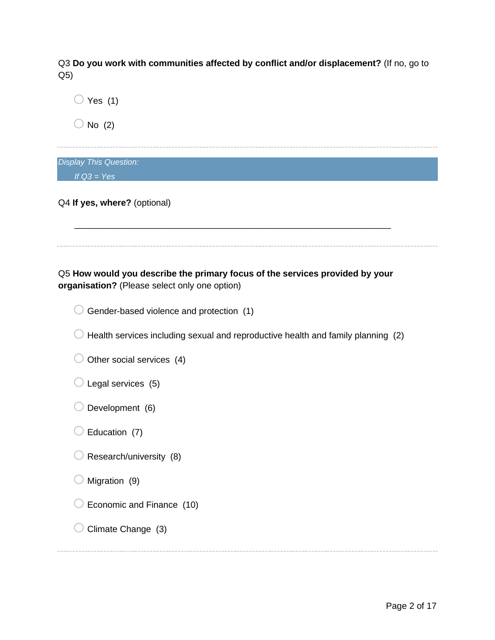Q3 **Do you work with communities affected by conflict and/or displacement?** (If no, go to Q5)

| Yes $(1)$                                                                                                                     |
|-------------------------------------------------------------------------------------------------------------------------------|
| No $(2)$                                                                                                                      |
| <b>Display This Question:</b>                                                                                                 |
| If $Q3 = Yes$                                                                                                                 |
| Q4 If yes, where? (optional)                                                                                                  |
|                                                                                                                               |
| Q5 How would you describe the primary focus of the services provided by your<br>organisation? (Please select only one option) |
| Gender-based violence and protection (1)                                                                                      |
| Health services including sexual and reproductive health and family planning (2)                                              |
| Other social services (4)                                                                                                     |
| Legal services (5)                                                                                                            |
| Development (6)                                                                                                               |
| Education (7)                                                                                                                 |
| Research/university (8)                                                                                                       |
| Migration (9)                                                                                                                 |
| Economic and Finance (10)                                                                                                     |
| Climate Change (3)                                                                                                            |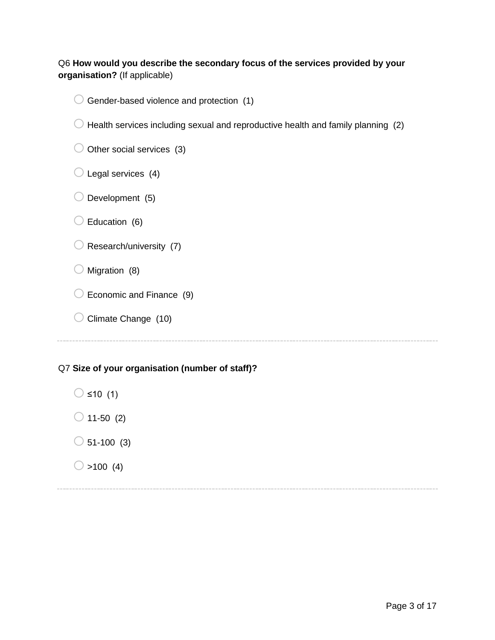#### Q6 **How would you describe the secondary focus of the services provided by your organisation?** (If applicable)

| Health services including sexual and reproductive health and family planning (2) |  |
|----------------------------------------------------------------------------------|--|
| Other social services (3)                                                        |  |
| Legal services (4)                                                               |  |
| Development (5)                                                                  |  |
| Education (6)                                                                    |  |
| Research/university (7)                                                          |  |
| Migration (8)                                                                    |  |
| Economic and Finance (9)                                                         |  |
| Climate Change (10)                                                              |  |

 $\bigcirc$  Gender-based violence and protection (1)

## Q7 **Size of your organisation (number of staff)?**

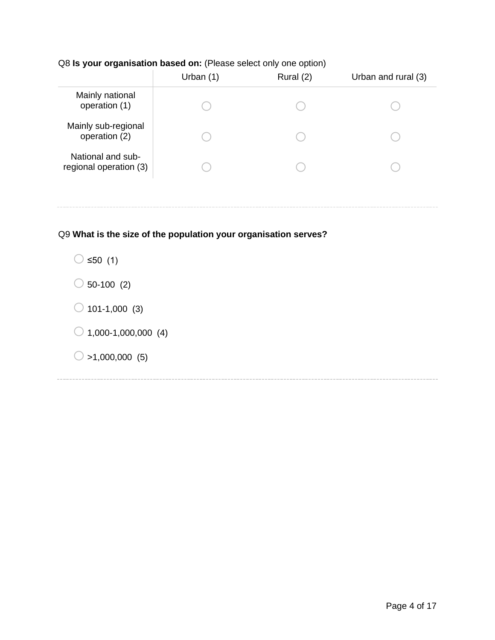#### Q8 **Is your organisation based on:** (Please select only one option)

|                                             | Urban $(1)$ | Rural (2) | Urban and rural (3) |
|---------------------------------------------|-------------|-----------|---------------------|
| Mainly national<br>operation (1)            |             |           |                     |
| Mainly sub-regional<br>operation (2)        |             |           |                     |
| National and sub-<br>regional operation (3) |             |           |                     |
|                                             |             |           |                     |

#### Q9 **What is the size of the population your organisation serves?**

 $\bigcirc$  ≤50 (1)

- $\bigcirc$  50-100 (2)
- $\bigcirc$  101-1,000 (3)
- $\bigcirc$  1,000-1,000,000 (4)
- $\bigcirc$  >1,000,000 (5)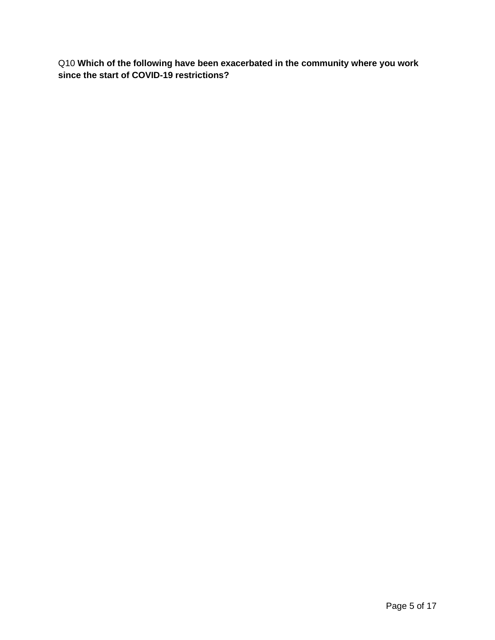Q10 **Which of the following have been exacerbated in the community where you work since the start of COVID-19 restrictions?**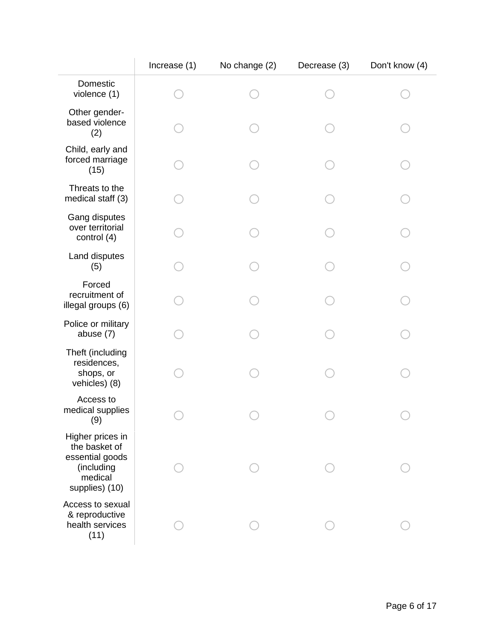|                                                                                                 | Increase (1) | No change (2) | Decrease (3) | Don't know (4) |
|-------------------------------------------------------------------------------------------------|--------------|---------------|--------------|----------------|
| Domestic<br>violence (1)                                                                        |              |               |              |                |
| Other gender-<br>based violence<br>(2)                                                          |              |               |              |                |
| Child, early and<br>forced marriage<br>(15)                                                     |              |               |              |                |
| Threats to the<br>medical staff (3)                                                             |              |               |              |                |
| Gang disputes<br>over territorial<br>control (4)                                                |              |               |              |                |
| Land disputes<br>(5)                                                                            |              |               |              |                |
| Forced<br>recruitment of<br>illegal groups (6)                                                  |              |               |              |                |
| Police or military<br>abuse (7)                                                                 |              |               |              |                |
| Theft (including<br>residences,<br>shops, or<br>vehicles) (8)                                   |              |               |              |                |
| Access to<br>medical supplies<br>(9)                                                            |              |               |              |                |
| Higher prices in<br>the basket of<br>essential goods<br>(including<br>medical<br>supplies) (10) |              |               |              |                |
| Access to sexual<br>& reproductive<br>health services<br>(11)                                   |              |               |              |                |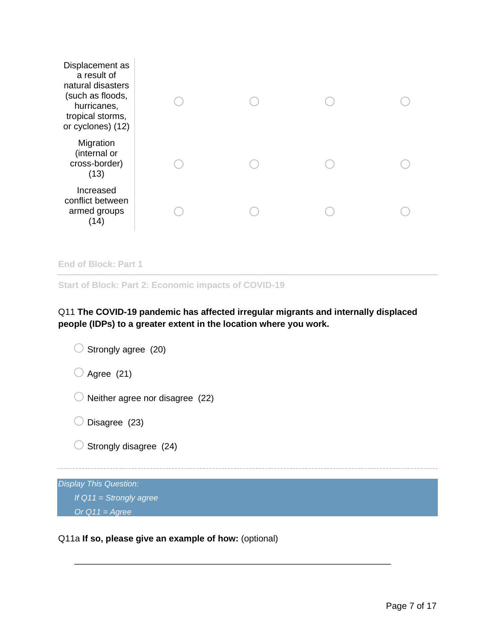| Displacement as<br>a result of<br>natural disasters<br>(such as floods,<br>hurricanes,<br>tropical storms,<br>or cyclones) (12) |  |  |
|---------------------------------------------------------------------------------------------------------------------------------|--|--|
| Migration<br>(internal or<br>cross-border)<br>(13)                                                                              |  |  |
| Increased<br>conflict between<br>armed groups<br>(14)                                                                           |  |  |
|                                                                                                                                 |  |  |

```
End of Block: Part 1
```
**Start of Block: Part 2: Economic impacts of COVID-19**

#### Q11 **The COVID-19 pandemic has affected irregular migrants and internally displaced people (IDPs) to a greater extent in the location where you work.**

\_\_\_\_\_\_\_\_\_\_\_\_\_\_\_\_\_\_\_\_\_\_\_\_\_\_\_\_\_\_\_\_\_\_\_\_\_\_\_\_\_\_\_\_\_\_\_\_\_\_\_\_\_\_\_\_\_\_\_\_\_\_\_\_



#### Q11a **If so, please give an example of how:** (optional)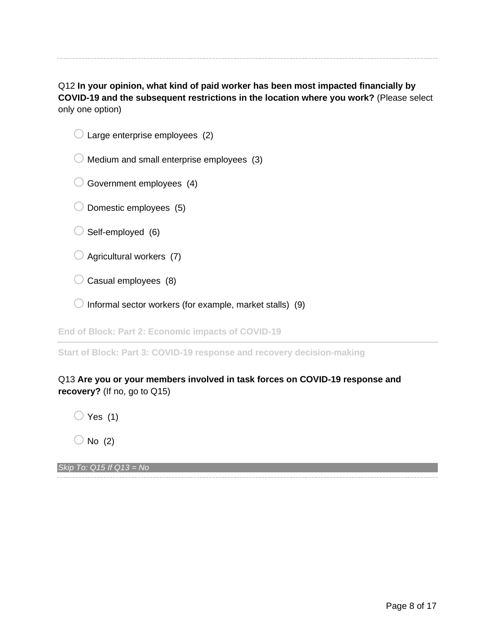Q12 **In your opinion, what kind of paid worker has been most impacted financially by COVID-19 and the subsequent restrictions in the location where you work?** (Please select only one option)

|  | $\bigcirc$ Large enterprise employees (2) |  |
|--|-------------------------------------------|--|

 $\bigcirc$  Medium and small enterprise employees (3)

 $\bigcirc$  Government employees (4)

- $\bigcirc$  Domestic employees (5)
- $\bigcirc$  Self-employed (6)
- $\bigcirc$  Agricultural workers (7)
- $\bigcirc$  Casual employees (8)
- $\bigcirc$  Informal sector workers (for example, market stalls) (9)

**End of Block: Part 2: Economic impacts of COVID-19**

**Start of Block: Part 3: COVID-19 response and recovery decision-making**

#### Q13 **Are you or your members involved in task forces on COVID-19 response and recovery?** (If no, go to Q15)

 $\bigcirc$  Yes (1)

 $\bigcirc$  No (2)

*Skip To: Q15 If Q13 = No*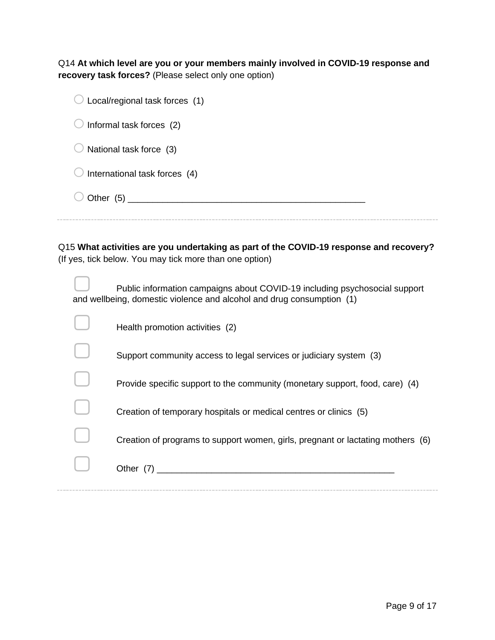Q14 **At which level are you or your members mainly involved in COVID-19 response and recovery task forces?** (Please select only one option)

| Local/regional task forces (1) |
|--------------------------------|
| Informal task forces (2)       |
| National task force (3)        |
| International task forces (4)  |
|                                |
|                                |

Q15 **What activities are you undertaking as part of the COVID-19 response and recovery?**  (If yes, tick below. You may tick more than one option)

| Public information campaigns about COVID-19 including psychosocial support<br>and wellbeing, domestic violence and alcohol and drug consumption (1) |
|-----------------------------------------------------------------------------------------------------------------------------------------------------|
| Health promotion activities (2)                                                                                                                     |
| Support community access to legal services or judiciary system (3)                                                                                  |
| Provide specific support to the community (monetary support, food, care) (4)                                                                        |
| Creation of temporary hospitals or medical centres or clinics (5)                                                                                   |
| Creation of programs to support women, girls, pregnant or lactating mothers (6)                                                                     |
| Other (7)                                                                                                                                           |
|                                                                                                                                                     |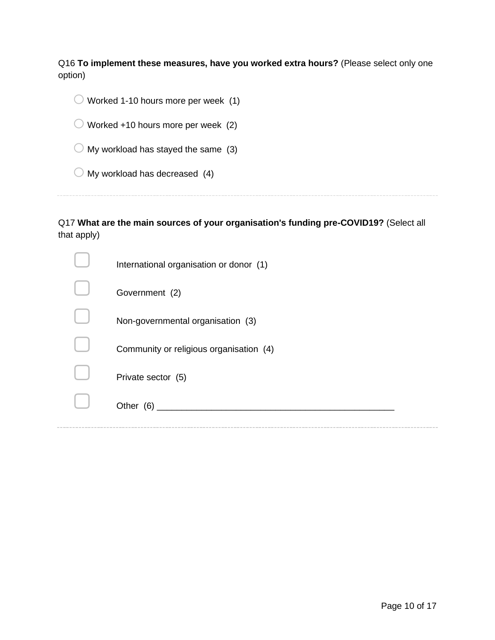Q16 **To implement these measures, have you worked extra hours?** (Please select only one option)

| Worked 1-10 hours more per week (1)            |
|------------------------------------------------|
| Worked +10 hours more per week (2)             |
| $\bigcirc$ My workload has stayed the same (3) |
| $\bigcirc$ My workload has decreased (4)       |
|                                                |

Q17 **What are the main sources of your organisation's funding pre-COVID19?** (Select all that apply)

| International organisation or donor (1) |
|-----------------------------------------|
| Government (2)                          |
| Non-governmental organisation (3)       |
| Community or religious organisation (4) |
| Private sector (5)                      |
| Other (6)                               |
|                                         |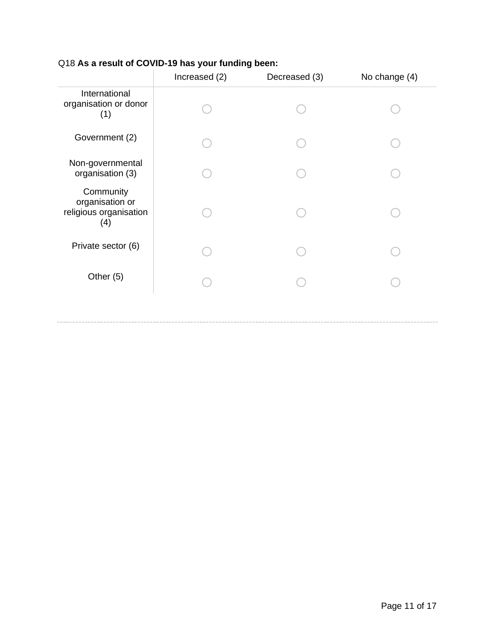|                                                               | Increased (2) | Decreased (3) | No change (4) |
|---------------------------------------------------------------|---------------|---------------|---------------|
| International<br>organisation or donor<br>(1)                 |               |               |               |
| Government (2)                                                |               |               |               |
| Non-governmental<br>organisation (3)                          |               |               |               |
| Community<br>organisation or<br>religious organisation<br>(4) |               |               |               |
| Private sector (6)                                            |               |               |               |
| Other (5)                                                     |               |               |               |
|                                                               |               |               |               |

#### Q18 **As a result of COVID-19 has your funding been:**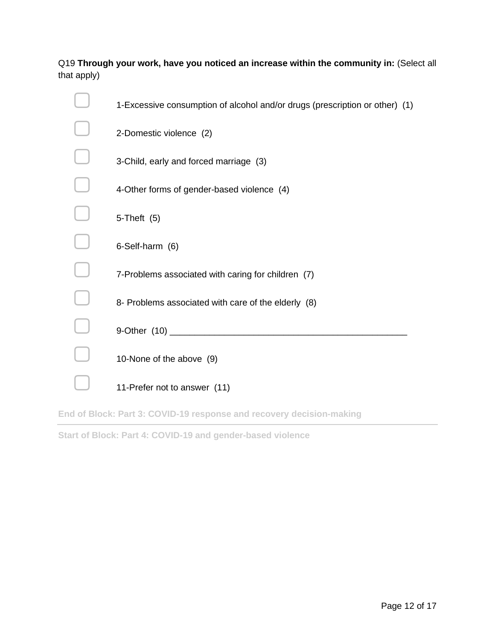#### Q19 **Through your work, have you noticed an increase within the community in:** (Select all that apply)

| 1-Excessive consumption of alcohol and/or drugs (prescription or other) (1) |
|-----------------------------------------------------------------------------|
| 2-Domestic violence (2)                                                     |
| 3-Child, early and forced marriage (3)                                      |
| 4-Other forms of gender-based violence (4)                                  |
| $5$ -Theft $(5)$                                                            |
| 6-Self-harm (6)                                                             |
| 7-Problems associated with caring for children (7)                          |
| 8- Problems associated with care of the elderly (8)                         |
| 9-Other (10) ________                                                       |
| 10-None of the above (9)                                                    |
| 11-Prefer not to answer (11)                                                |

**End of Block: Part 3: COVID-19 response and recovery decision-making**

**Start of Block: Part 4: COVID-19 and gender-based violence**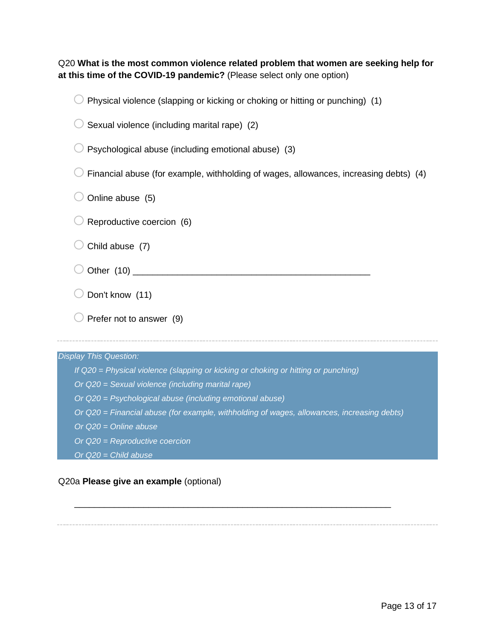Q20 **What is the most common violence related problem that women are seeking help for at this time of the COVID-19 pandemic?** (Please select only one option)

| Physical violence (slapping or kicking or choking or hitting or punching) (1)              |
|--------------------------------------------------------------------------------------------|
| Sexual violence (including marital rape) (2)                                               |
| Psychological abuse (including emotional abuse) (3)                                        |
| Financial abuse (for example, withholding of wages, allowances, increasing debts) (4)      |
| Online abuse (5)                                                                           |
| Reproductive coercion (6)                                                                  |
| Child abuse (7)                                                                            |
|                                                                                            |
| Don't know (11)                                                                            |
| Prefer not to answer (9)                                                                   |
|                                                                                            |
| <b>Display This Question:</b>                                                              |
| If Q20 = Physical violence (slapping or kicking or choking or hitting or punching)         |
| Or Q20 = Sexual violence (including marital rape)                                          |
| Or Q20 = Psychological abuse (including emotional abuse)                                   |
| Or Q20 = Financial abuse (for example, withholding of wages, allowances, increasing debts) |
| Or $Q20 =$ Online abuse                                                                    |
| Or Q20 = Reproductive coercion                                                             |
| Or $Q20 =$ Child abuse                                                                     |

\_\_\_\_\_\_\_\_\_\_\_\_\_\_\_\_\_\_\_\_\_\_\_\_\_\_\_\_\_\_\_\_\_\_\_\_\_\_\_\_\_\_\_\_\_\_\_\_\_\_\_\_\_\_\_\_\_\_\_\_\_\_\_\_

#### Q20a **Please give an example** (optional)

 $\sim$   $\sim$   $\sim$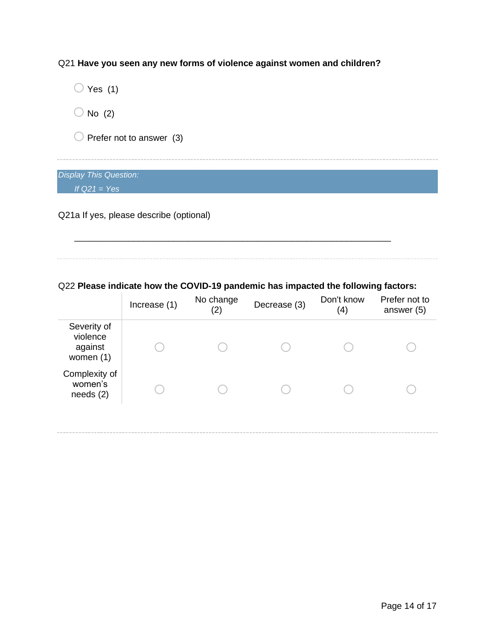Q21 **Have you seen any new forms of violence against women and children?**

 $\bigcirc$  Yes (1)  $\bigcirc$  No (2)  $\bigcirc$  Prefer not to answer (3) *Display This Question:*

*If Q21 = Yes*

Q21a If yes, please describe (optional)

Q22 **Please indicate how the COVID-19 pandemic has impacted the following factors:**

\_\_\_\_\_\_\_\_\_\_\_\_\_\_\_\_\_\_\_\_\_\_\_\_\_\_\_\_\_\_\_\_\_\_\_\_\_\_\_\_\_\_\_\_\_\_\_\_\_\_\_\_\_\_\_\_\_\_\_\_\_\_\_\_

|                                                   | Increase (1) | No change<br>(2) | Decrease (3) | Don't know<br>(4) | Prefer not to<br>answer (5) |
|---------------------------------------------------|--------------|------------------|--------------|-------------------|-----------------------------|
| Severity of<br>violence<br>against<br>women $(1)$ |              |                  |              |                   |                             |
| Complexity of<br>women's<br>needs(2)              |              |                  |              |                   |                             |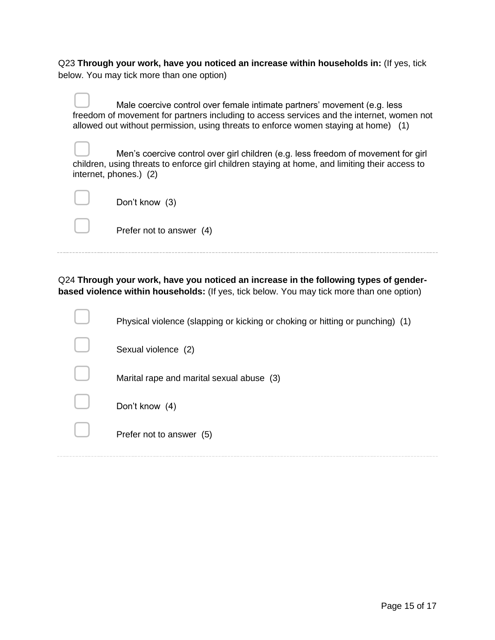Q23 **Through your work, have you noticed an increase within households in:** (If yes, tick below. You may tick more than one option)

Male coercive control over female intimate partners' movement (e.g. less freedom of movement for partners including to access services and the internet, women not allowed out without permission, using threats to enforce women staying at home) (1) Men's coercive control over girl children (e.g. less freedom of movement for girl children, using threats to enforce girl children staying at home, and limiting their access to internet, phones.) (2)

| Don't know (3)           |
|--------------------------|
| Prefer not to answer (4) |

Q24 **Through your work, have you noticed an increase in the following types of genderbased violence within households:** (If yes, tick below. You may tick more than one option)

| Physical violence (slapping or kicking or choking or hitting or punching) (1) |
|-------------------------------------------------------------------------------|
| Sexual violence (2)                                                           |
| Marital rape and marital sexual abuse (3)                                     |
| Don't know (4)                                                                |
| Prefer not to answer (5)                                                      |
|                                                                               |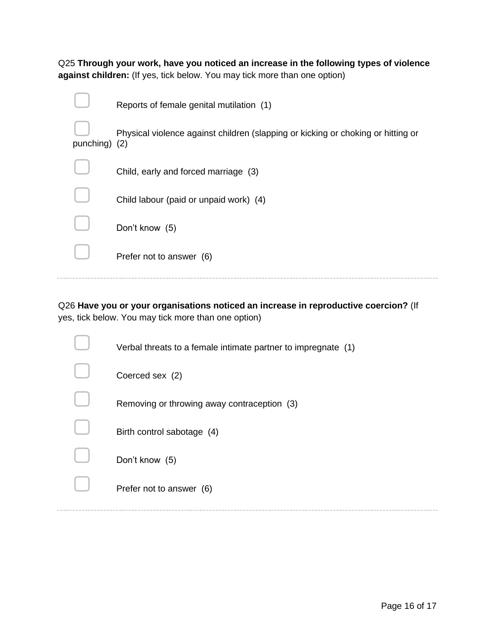Q25 **Through your work, have you noticed an increase in the following types of violence against children:** (If yes, tick below. You may tick more than one option)

|               | Reports of female genital mutilation (1)                                         |
|---------------|----------------------------------------------------------------------------------|
| punching) (2) | Physical violence against children (slapping or kicking or choking or hitting or |
|               | Child, early and forced marriage (3)                                             |
|               | Child labour (paid or unpaid work) (4)                                           |
|               | Don't know (5)                                                                   |
|               | Prefer not to answer (6)                                                         |
|               |                                                                                  |

Q26 **Have you or your organisations noticed an increase in reproductive coercion?** (If yes, tick below. You may tick more than one option)

|  | Verbal threats to a female intimate partner to impregnate (1) |
|--|---------------------------------------------------------------|
|  | Coerced sex (2)                                               |
|  | Removing or throwing away contraception (3)                   |
|  | Birth control sabotage (4)                                    |
|  | Don't know (5)                                                |
|  | Prefer not to answer (6)                                      |
|  |                                                               |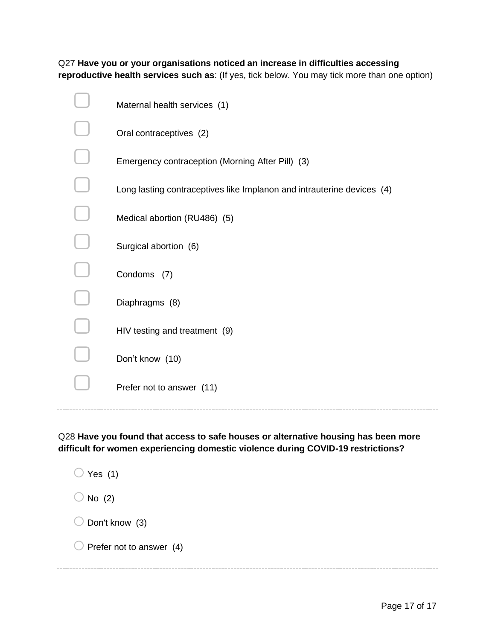Q27 **Have you or your organisations noticed an increase in difficulties accessing reproductive health services such as**: (If yes, tick below. You may tick more than one option)

| Maternal health services (1)                                           |
|------------------------------------------------------------------------|
| Oral contraceptives (2)                                                |
| Emergency contraception (Morning After Pill) (3)                       |
| Long lasting contraceptives like Implanon and intrauterine devices (4) |
| Medical abortion (RU486) (5)                                           |
| Surgical abortion (6)                                                  |
| Condoms (7)                                                            |
| Diaphragms (8)                                                         |
| HIV testing and treatment (9)                                          |
| Don't know (10)                                                        |
| Prefer not to answer (11)                                              |
|                                                                        |

Q28 **Have you found that access to safe houses or alternative housing has been more difficult for women experiencing domestic violence during COVID-19 restrictions?**

| Yes $(1)$                           |
|-------------------------------------|
| No $(2)$                            |
| $\bigcirc$ Don't know (3)           |
| $\bigcirc$ Prefer not to answer (4) |
|                                     |